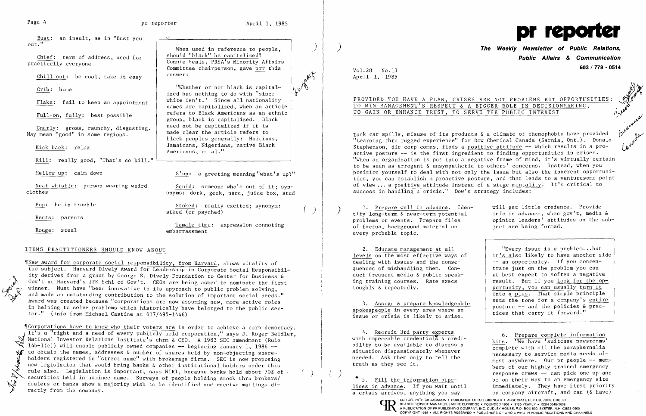Bust: an insult, as in "Bust you \ /'  $out.$ "

 $\frac{\text{Chief:}}{\text{practically}}$  everyone

Chill out: be  $cool$ , take it easy

Crib: home

Gnarly: gross, raunchy, disgusting. These not be capitalized if it is<br>May mean "good" in some regions. The made clear the article refers to

Kill: really good, "That's so kill."

Neat whistle: person wearing weird<br>clothes on  $\frac{Squid}{\text{coker}}$ : someone who's out of it; syn-

"Whether or not black is capitalized has nothing to do with 'since Flake: fail to keep an appointment  $\parallel$  white isn't.' Since all nationality names are capitalized, when an article Full-on, fully: best possible  $\left\{\right. \right.$  refers to Black Americans as an ethnic group, black is capitalized. Black black peoples generally: Haitians, Kick back: relax <br>  $\begin{array}{ccc} \hbox{Jamaicans, Nigerians, native Black} \end{array}$ Americans, et al."

Mellow up: calm down  $S'up: a greeting meaning "what's up?"$ 

onyms: dork, geek, narc, juice box, stud

Pop: be in trouble  $\begin{array}{ccc} \texttt{Stocked:} & \texttt{really excited;} \texttt{symbol}; \end{array}$  ( )

Tamale time: expression connoting Rouge: steal embarrassment

Wew award for corporate social responsibility, from Harvard, shows vitality of the subject. Harvard Dively Award for Leadership in Corporate Social Responsibility derives from a grant by George S. Dively Foundation to Center for Business & Gov't at Harvard's JFK Schl of Gov't. CEOs are being asked to nominate the first winner. Must have "been innovative in its approach to public problem solving, and made an outstanding contribution to the solution of important social needs." Award was created because "corporations are now assuming new, more active roles in helping to solve problems which historically have belonged to the public sec tor." (Info from Michael Castine at 617/495-1446)

"Corporations have to know who their voters are in order to achieve a corp democracy. It's a "right and a need of every publicly held corporation," says J. Roger Beidler, National Investor Relations Institute's chrm & CEO. A 1983 SEC amendment (Rule  $14b-1(c)$ ) will enable publicly owned companies -- beginning January 1, 1986 -to obtain the names, addresses & number of shares held by non-objecting share<br>
bolders registered in "street name" with brokerage firms. SEC is now proposi-<br>
new legislation that would bring banks & other institutional hol holders registered in "street name" with brokerage firms. SEC is now proposing new legislation that would bring banks & other institutional holders under this rule also. Legislation is important, says NIRI, because banks hold about 70% of The also. Legislation is important, says NIRI, because banks hold about 70% of . ()<br>securities held in nominee name. Surveys of people holding stock thru brokers/<br>dealers or banks show a majority wish to be identified and dealers or banks show a majority wish to be identified and receive mailings di-<br>rectly from the company.

Rents: parents

When used in reference to people,<br>should "black" be capitalized? Connie Seals, PRSA's Minority Affairs<br>Committee chairperson, gave prr this<br>answer:

#### ITEMS PRACTITIONERS SHOULD KNOW ABOUT

**The Weekly Newsletter of Public Relations, Public Affairs & Communication 603/178 - <sup>0514</sup>**Vol. 28 No.13

Tank car spills, misuse of its products & a climate of chemophobia have provided<br>"Learning thru rugged experience" for Dow Chemical Canada (Sarnia, Ont.). Donald Stephenson, dir corp comns, finds a positive attitude -- which results in a proactive posture -- is the first ingredient to finding opportunities in crises. "When an organization is put into a negative frame of mind, it's virtually certain to be seen as arrogant & unsympathetic to others' concerns. Instead, when you position yourself to deal with not only the issue but also the inherent opportunities, you can establish a proactive posture, and that leads to a venturesome point of view ... a positive attitude instead of a siege mentality. It's critical to success in handling a crisis." Dow's strategy includes:

1. Prepare well in advance. Iden-<br>
tify long-term & near-term potential info in advance, when gov't, media &<br>
problems or events. Prepare files opinion leaders' attitudes on the sub of factual background material on every probable topic.

2. <u>Educate management at all</u>  $\begin{array}{c} \text{Use } 2. \text{ Hence, the most effective ways of the first line is a problem.}\end{array}$  is a problem...but it<u>'s also</u> likely to have another side ing with issues and the conse-<br>nees of mishandling them. Con-"Every issue is a problem...but levels on the most effective ways of  $\vert$  it's also likely to have another side trate just on the problem you can at best expect to soften a negative result. But if you <u>look for the op</u> portunity, you can usually turn it into a plus. That simple principle sets the tone for a company's entire

necessary to service media needs alneeded. Ask them only to tell the most anywhere. Our pr people -- mem-<br>truth as they see it. truth as they see it. being the set of our highly trained emergency truth as they see it. ( )<br> **•** 5. Fill the information pipe-<br>
be on their way to an emergency site<br> **be on their way to an emergency site** • 5. Fill the information pipe-<br>lines in advance. If you wait until immediately. They have first priorit immediately. They have first priority



Leaf

 $\overline{\phantom{a}}$ 

 $\mathcal{X}$ 

a,

April 1, 1985

# TO GAIN OR ENHANCE TRUST, TO SERVE THE PUBLIC INTEREST

PROVIDED YOU HAVE A PLAN, CRISES ARE NOT PROBLEMS BUT OPPORTUNITIES: ..~, . TO WIN MANAGEMENT'S RESPECT & A BIGGER ROLE IN DECISIONMAKING, ..

problems or events. Prepare files opinion leaders' attitudes on the subject are being formed.

dealing with issues and the conse -- an opportunity. If you concen duct frequent media & public speak quences of mishandling them. Coning training courses. Rate execs toughly & repeatedly.

3. Assign & prepare knowledgeable<br>spokespeople in every area where an issue or crisis is likely to arise.

4. Recruit 3rd party experts<br>with impeccable credentials & credi-<br> $\frac{1}{1!}$   $\frac{1}{1!}$   $\frac{1}{1!}$   $\frac{1}{1!}$   $\frac{1}{1!}$   $\frac{1}{1!}$   $\frac{1}{1!}$   $\frac{1}{1!}$   $\frac{1}{1!}$   $\frac{1}{1!}$   $\frac{1}{1!}$   $\frac{1}{1!}$   $\frac{1}{1!}$   $\frac{1}{1!}$   $\$ with impeccable credentials  $\alpha$  credi-<br>bility to be available to discuss a complete with all the paraphernalia<br>situation dispassionately whenever  $\alpha$ 

a crisis arrives, anything you say on company aircraft, and can (& have)